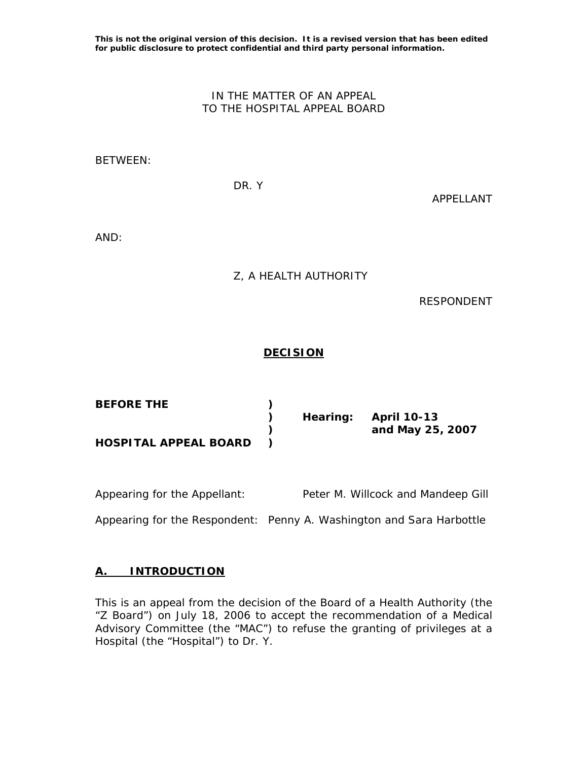**This is not the original version of this decision. It is a revised version that has been edited for public disclosure to protect confidential and third party personal information.** 

## IN THE MATTER OF AN APPEAL TO THE HOSPITAL APPEAL BOARD

#### BETWEEN:

DR. Y

APPELLANT

AND:

Z, A HEALTH AUTHORITY

RESPONDENT

## **DECISION**

| <b>BEFORE THE</b>            |  |                      |
|------------------------------|--|----------------------|
|                              |  | Hearing: April 10-13 |
|                              |  | and May 25, 2007     |
| <b>HOSPITAL APPEAL BOARD</b> |  |                      |

| Appearing for the Appellant: | Peter M. Willcock and Mandeep Gill |
|------------------------------|------------------------------------|
|                              |                                    |

Appearing for the Respondent: Penny A. Washington and Sara Harbottle

#### **A. INTRODUCTION**

This is an appeal from the decision of the Board of a Health Authority (the "Z Board") on July 18, 2006 to accept the recommendation of a Medical Advisory Committee (the "MAC") to refuse the granting of privileges at a Hospital (the "Hospital") to Dr. Y.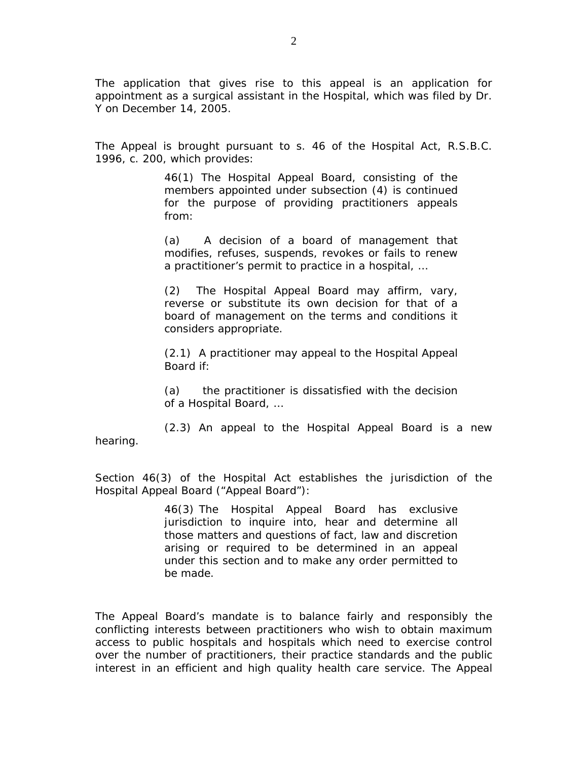The application that gives rise to this appeal is an application for appointment as a surgical assistant in the Hospital, which was filed by Dr. Y on December 14, 2005.

The Appeal is brought pursuant to s. 46 of the *Hospital Act*, R.S.B.C. 1996, c. 200, which provides:

> 46(1) The Hospital Appeal Board, consisting of the members appointed under subsection (4) is continued for the purpose of providing practitioners appeals from:

> (a) A decision of a board of management that modifies, refuses, suspends, revokes or fails to renew a practitioner's permit to practice in a hospital, …

> (2) The Hospital Appeal Board may affirm, vary, reverse or substitute its own decision for that of a board of management on the terms and conditions it considers appropriate.

> (2.1) A practitioner may appeal to the Hospital Appeal Board if:

> (a) the practitioner is dissatisfied with the decision of a Hospital Board, …

 (2.3) An appeal to the Hospital Appeal Board is a new hearing.

Section 46(3) of the *Hospital Act* establishes the jurisdiction of the Hospital Appeal Board ("Appeal Board"):

> 46(3) The Hospital Appeal Board has exclusive jurisdiction to inquire into, hear and determine all those matters and questions of fact, law and discretion arising or required to be determined in an appeal under this section and to make any order permitted to be made*.*

The Appeal Board's mandate is to balance fairly and responsibly the conflicting interests between practitioners who wish to obtain maximum access to public hospitals and hospitals which need to exercise control over the number of practitioners, their practice standards and the public interest in an efficient and high quality health care service. The Appeal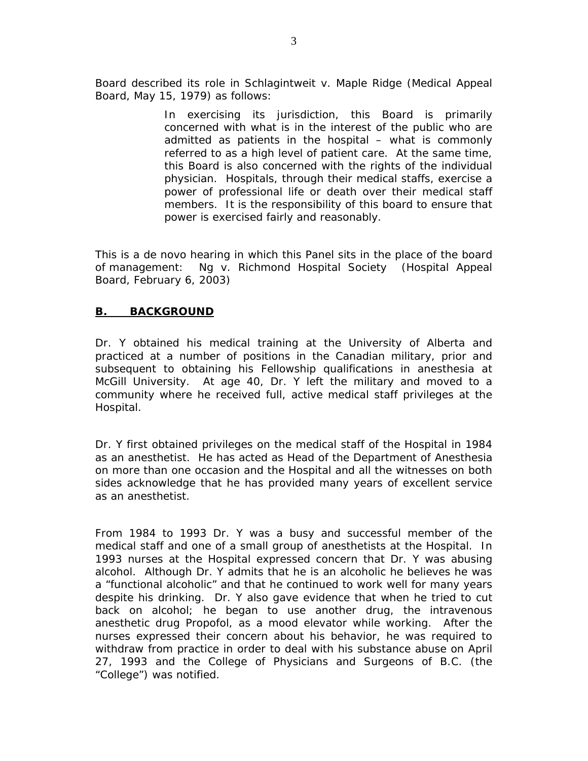Board described its role in *Schlagintweit v. Maple Ridge* (Medical Appeal Board, May 15, 1979) as follows:

> In exercising its jurisdiction, this Board is primarily concerned with what is in the interest of the public who are admitted as patients in the hospital – what is commonly referred to as a high level of patient care. At the same time, this Board is also concerned with the rights of the individual physician. Hospitals, through their medical staffs, exercise a power of professional life or death over their medical staff members. It is the responsibility of this board to ensure that power is exercised fairly and reasonably.

This is a *de novo* hearing in which this Panel sits in the place of the board of management: *Ng v. Richmond Hospital Society* (Hospital Appeal Board, February 6, 2003)

## **B. BACKGROUND**

Dr. Y obtained his medical training at the University of Alberta and practiced at a number of positions in the Canadian military, prior and subsequent to obtaining his Fellowship qualifications in anesthesia at McGill University. At age 40, Dr. Y left the military and moved to a community where he received full, active medical staff privileges at the Hospital.

Dr. Y first obtained privileges on the medical staff of the Hospital in 1984 as an anesthetist. He has acted as Head of the Department of Anesthesia on more than one occasion and the Hospital and all the witnesses on both sides acknowledge that he has provided many years of excellent service as an anesthetist.

From 1984 to 1993 Dr. Y was a busy and successful member of the medical staff and one of a small group of anesthetists at the Hospital. In 1993 nurses at the Hospital expressed concern that Dr. Y was abusing alcohol. Although Dr. Y admits that he is an alcoholic he believes he was a "functional alcoholic" and that he continued to work well for many years despite his drinking. Dr. Y also gave evidence that when he tried to cut back on alcohol; he began to use another drug, the intravenous anesthetic drug Propofol, as a mood elevator while working. After the nurses expressed their concern about his behavior, he was required to withdraw from practice in order to deal with his substance abuse on April 27, 1993 and the College of Physicians and Surgeons of B.C. (the "College") was notified.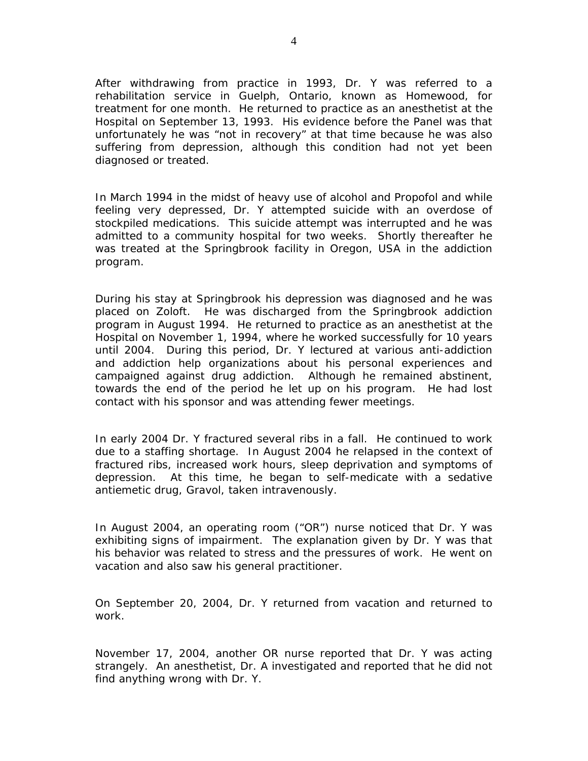After withdrawing from practice in 1993, Dr. Y was referred to a rehabilitation service in Guelph, Ontario, known as Homewood, for treatment for one month. He returned to practice as an anesthetist at the Hospital on September 13, 1993. His evidence before the Panel was that unfortunately he was "not in recovery" at that time because he was also suffering from depression, although this condition had not yet been diagnosed or treated.

In March 1994 in the midst of heavy use of alcohol and Propofol and while feeling very depressed, Dr. Y attempted suicide with an overdose of stockpiled medications. This suicide attempt was interrupted and he was admitted to a community hospital for two weeks. Shortly thereafter he was treated at the Springbrook facility in Oregon, USA in the addiction program.

During his stay at Springbrook his depression was diagnosed and he was placed on Zoloft. He was discharged from the Springbrook addiction program in August 1994. He returned to practice as an anesthetist at the Hospital on November 1, 1994, where he worked successfully for 10 years until 2004. During this period, Dr. Y lectured at various anti-addiction and addiction help organizations about his personal experiences and campaigned against drug addiction. Although he remained abstinent, towards the end of the period he let up on his program. He had lost contact with his sponsor and was attending fewer meetings.

In early 2004 Dr. Y fractured several ribs in a fall. He continued to work due to a staffing shortage. In August 2004 he relapsed in the context of fractured ribs, increased work hours, sleep deprivation and symptoms of depression. At this time, he began to self-medicate with a sedative antiemetic drug, Gravol, taken intravenously.

In August 2004, an operating room ("OR") nurse noticed that Dr. Y was exhibiting signs of impairment. The explanation given by Dr. Y was that his behavior was related to stress and the pressures of work. He went on vacation and also saw his general practitioner.

On September 20, 2004, Dr. Y returned from vacation and returned to work.

November 17, 2004, another OR nurse reported that Dr. Y was acting strangely. An anesthetist, Dr. A investigated and reported that he did not find anything wrong with Dr. Y.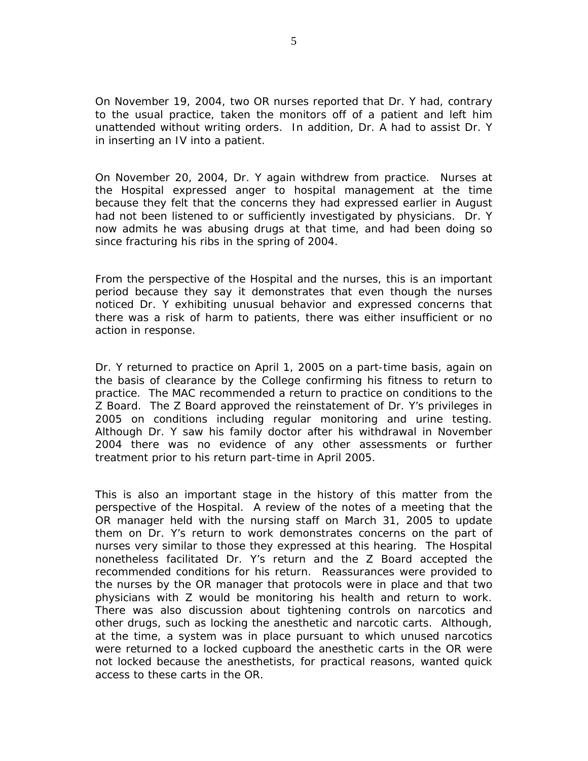On November 19, 2004, two OR nurses reported that Dr. Y had, contrary to the usual practice, taken the monitors off of a patient and left him unattended without writing orders. In addition, Dr. A had to assist Dr. Y in inserting an IV into a patient.

On November 20, 2004, Dr. Y again withdrew from practice. Nurses at the Hospital expressed anger to hospital management at the time because they felt that the concerns they had expressed earlier in August had not been listened to or sufficiently investigated by physicians. Dr. Y now admits he was abusing drugs at that time, and had been doing so since fracturing his ribs in the spring of 2004.

From the perspective of the Hospital and the nurses, this is an important period because they say it demonstrates that even though the nurses noticed Dr. Y exhibiting unusual behavior and expressed concerns that there was a risk of harm to patients, there was either insufficient or no action in response.

Dr. Y returned to practice on April 1, 2005 on a part-time basis, again on the basis of clearance by the College confirming his fitness to return to practice. The MAC recommended a return to practice on conditions to the Z Board. The Z Board approved the reinstatement of Dr. Y's privileges in 2005 on conditions including regular monitoring and urine testing. Although Dr. Y saw his family doctor after his withdrawal in November 2004 there was no evidence of any other assessments or further treatment prior to his return part-time in April 2005.

This is also an important stage in the history of this matter from the perspective of the Hospital. A review of the notes of a meeting that the OR manager held with the nursing staff on March 31, 2005 to update them on Dr. Y's return to work demonstrates concerns on the part of nurses very similar to those they expressed at this hearing. The Hospital nonetheless facilitated Dr. Y's return and the Z Board accepted the recommended conditions for his return. Reassurances were provided to the nurses by the OR manager that protocols were in place and that two physicians with Z would be monitoring his health and return to work. There was also discussion about tightening controls on narcotics and other drugs, such as locking the anesthetic and narcotic carts. Although, at the time, a system was in place pursuant to which unused narcotics were returned to a locked cupboard the anesthetic carts in the OR were not locked because the anesthetists, for practical reasons, wanted quick access to these carts in the OR.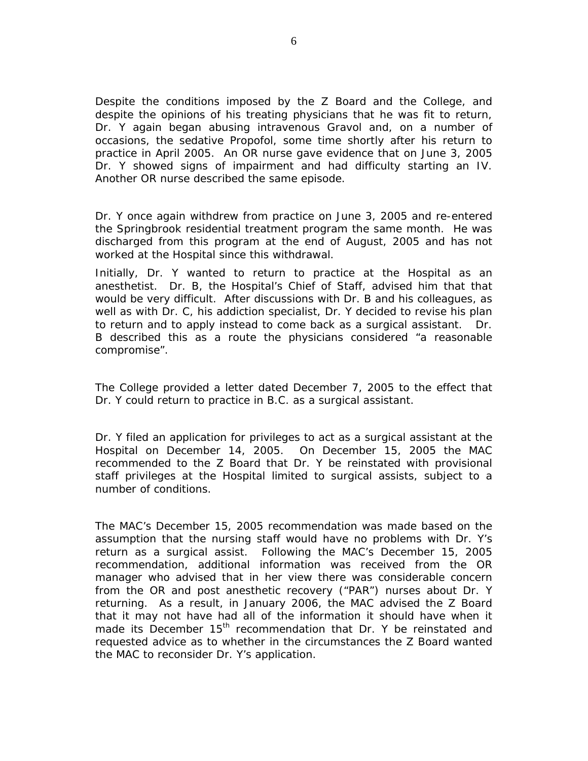Despite the conditions imposed by the Z Board and the College, and despite the opinions of his treating physicians that he was fit to return, Dr. Y again began abusing intravenous Gravol and, on a number of occasions, the sedative Propofol, some time shortly after his return to practice in April 2005. An OR nurse gave evidence that on June 3, 2005 Dr. Y showed signs of impairment and had difficulty starting an IV. Another OR nurse described the same episode.

Dr. Y once again withdrew from practice on June 3, 2005 and re-entered the Springbrook residential treatment program the same month. He was discharged from this program at the end of August, 2005 and has not worked at the Hospital since this withdrawal.

Initially, Dr. Y wanted to return to practice at the Hospital as an anesthetist. Dr. B, the Hospital's Chief of Staff, advised him that that would be very difficult. After discussions with Dr. B and his colleagues, as well as with Dr. C, his addiction specialist, Dr. Y decided to revise his plan to return and to apply instead to come back as a surgical assistant. Dr. B described this as a route the physicians considered "a reasonable compromise".

The College provided a letter dated December 7, 2005 to the effect that Dr. Y could return to practice in B.C. as a surgical assistant.

Dr. Y filed an application for privileges to act as a surgical assistant at the Hospital on December 14, 2005. On December 15, 2005 the MAC recommended to the Z Board that Dr. Y be reinstated with provisional staff privileges at the Hospital limited to surgical assists, subject to a number of conditions.

The MAC's December 15, 2005 recommendation was made based on the assumption that the nursing staff would have no problems with Dr. Y's return as a surgical assist. Following the MAC's December 15, 2005 recommendation, additional information was received from the OR manager who advised that in her view there was considerable concern from the OR and post anesthetic recovery ("PAR") nurses about Dr. Y returning. As a result, in January 2006, the MAC advised the Z Board that it may not have had all of the information it should have when it made its December 15<sup>th</sup> recommendation that Dr. Y be reinstated and requested advice as to whether in the circumstances the Z Board wanted the MAC to reconsider Dr. Y's application.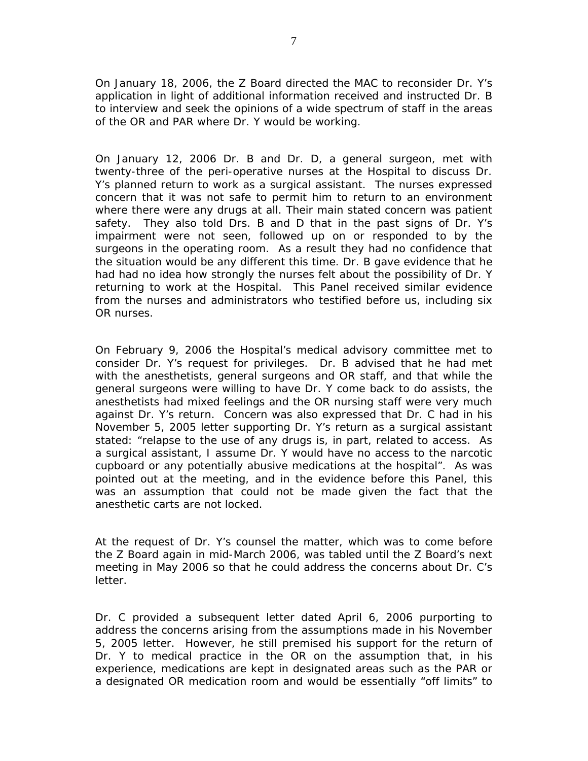On January 18, 2006, the Z Board directed the MAC to reconsider Dr. Y's application in light of additional information received and instructed Dr. B to interview and seek the opinions of a wide spectrum of staff in the areas of the OR and PAR where Dr. Y would be working.

On January 12, 2006 Dr. B and Dr. D, a general surgeon, met with twenty-three of the peri-operative nurses at the Hospital to discuss Dr. Y's planned return to work as a surgical assistant. The nurses expressed concern that it was not safe to permit him to return to an environment where there were any drugs at all. Their main stated concern was patient safety. They also told Drs. B and D that in the past signs of Dr. Y's impairment were not seen, followed up on or responded to by the surgeons in the operating room. As a result they had no confidence that the situation would be any different this time. Dr. B gave evidence that he had had no idea how strongly the nurses felt about the possibility of Dr. Y returning to work at the Hospital. This Panel received similar evidence from the nurses and administrators who testified before us, including six OR nurses.

On February 9, 2006 the Hospital's medical advisory committee met to consider Dr. Y's request for privileges. Dr. B advised that he had met with the anesthetists, general surgeons and OR staff, and that while the general surgeons were willing to have Dr. Y come back to do assists, the anesthetists had mixed feelings and the OR nursing staff were very much against Dr. Y's return. Concern was also expressed that Dr. C had in his November 5, 2005 letter supporting Dr. Y's return as a surgical assistant stated: "relapse to the use of any drugs is, in part, related to access. As a surgical assistant, I assume Dr. Y would have no access to the narcotic cupboard or any potentially abusive medications at the hospital". As was pointed out at the meeting, and in the evidence before this Panel, this was an assumption that could not be made given the fact that the anesthetic carts are not locked.

At the request of Dr. Y's counsel the matter, which was to come before the Z Board again in mid-March 2006, was tabled until the Z Board's next meeting in May 2006 so that he could address the concerns about Dr. C's letter.

Dr. C provided a subsequent letter dated April 6, 2006 purporting to address the concerns arising from the assumptions made in his November 5, 2005 letter. However, he still premised his support for the return of Dr. Y to medical practice in the OR on the assumption that, in his experience, medications are kept in designated areas such as the PAR or a designated OR medication room and would be essentially "off limits" to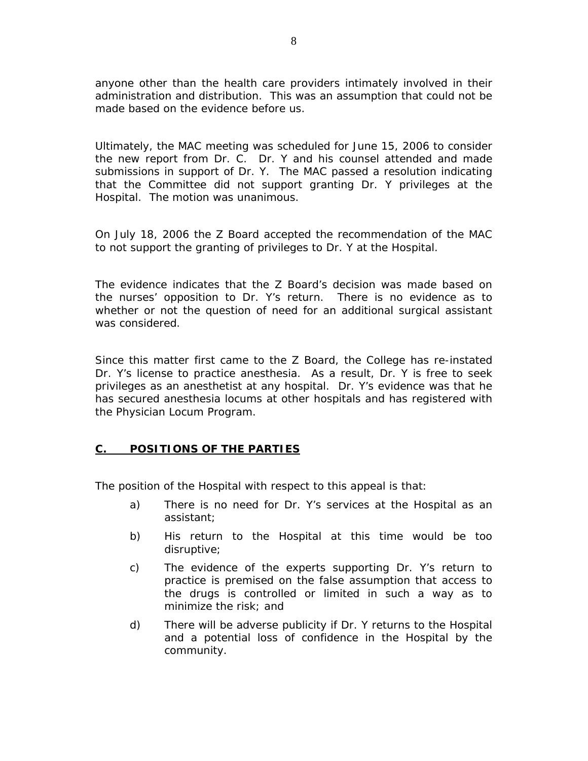anyone other than the health care providers intimately involved in their administration and distribution. This was an assumption that could not be made based on the evidence before us.

Ultimately, the MAC meeting was scheduled for June 15, 2006 to consider the new report from Dr. C. Dr. Y and his counsel attended and made submissions in support of Dr. Y. The MAC passed a resolution indicating that the Committee did not support granting Dr. Y privileges at the Hospital. The motion was unanimous.

On July 18, 2006 the Z Board accepted the recommendation of the MAC to not support the granting of privileges to Dr. Y at the Hospital.

The evidence indicates that the Z Board's decision was made based on the nurses' opposition to Dr. Y's return. There is no evidence as to whether or not the question of need for an additional surgical assistant was considered.

Since this matter first came to the Z Board, the College has re-instated Dr. Y's license to practice anesthesia. As a result, Dr. Y is free to seek privileges as an anesthetist at any hospital. Dr. Y's evidence was that he has secured anesthesia locums at other hospitals and has registered with the Physician Locum Program.

### **C. POSITIONS OF THE PARTIES**

The position of the Hospital with respect to this appeal is that:

- a) There is no need for Dr. Y's services at the Hospital as an assistant;
- b) His return to the Hospital at this time would be too disruptive;
- c) The evidence of the experts supporting Dr. Y's return to practice is premised on the false assumption that access to the drugs is controlled or limited in such a way as to minimize the risk; and
- d) There will be adverse publicity if Dr. Y returns to the Hospital and a potential loss of confidence in the Hospital by the community.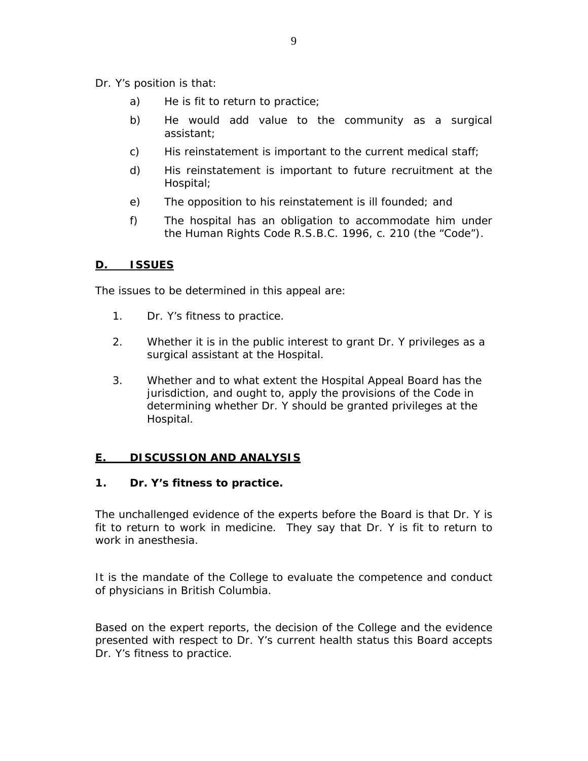Dr. Y's position is that:

- a) He is fit to return to practice;
- b) He would add value to the community as a surgical assistant;
- c) His reinstatement is important to the current medical staff;
- d) His reinstatement is important to future recruitment at the Hospital;
- e) The opposition to his reinstatement is ill founded; and
- f) The hospital has an obligation to accommodate him under the *Human Rights Code* R.S.B.C. 1996, c. 210 (the "Code")*.*

## **D. ISSUES**

The issues to be determined in this appeal are:

- 1. Dr. Y's fitness to practice.
- 2. Whether it is in the public interest to grant Dr. Y privileges as a surgical assistant at the Hospital.
- 3. Whether and to what extent the Hospital Appeal Board has the jurisdiction, and ought to, apply the provisions of the *Code* in determining whether Dr. Y should be granted privileges at the Hospital.

# **E. DISCUSSION AND ANALYSIS**

### **1. Dr. Y's fitness to practice.**

The unchallenged evidence of the experts before the Board is that Dr. Y is fit to return to work in medicine. They say that Dr. Y is fit to return to work in anesthesia.

It is the mandate of the College to evaluate the competence and conduct of physicians in British Columbia.

Based on the expert reports, the decision of the College and the evidence presented with respect to Dr. Y's current health status this Board accepts Dr. Y's fitness to practice.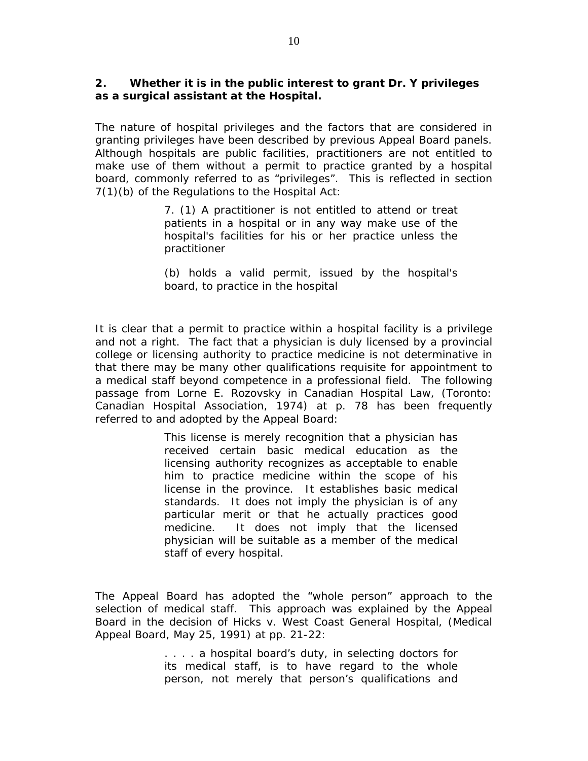### **2. Whether it is in the public interest to grant Dr. Y privileges as a surgical assistant at the Hospital.**

The nature of hospital privileges and the factors that are considered in granting privileges have been described by previous Appeal Board panels. Although hospitals are public facilities, practitioners are not entitled to make use of them without a permit to practice granted by a hospital board, commonly referred to as "privileges". This is reflected in section 7(1)(b) of the Regulations to the *Hospital Act*:

> 7. (1) A practitioner is not entitled to attend or treat patients in a hospital or in any way make use of the hospital's facilities for his or her practice unless the practitioner

> (b) holds a valid permit, issued by the hospital's board, to practice in the hospital

It is clear that a permit to practice within a hospital facility is a privilege and not a right. The fact that a physician is duly licensed by a provincial college or licensing authority to practice medicine is not determinative in that there may be many other qualifications requisite for appointment to a medical staff beyond competence in a professional field. The following passage from Lorne E. Rozovsky in *Canadian Hospital Law*, (Toronto: Canadian Hospital Association, 1974) at p. 78 has been frequently referred to and adopted by the Appeal Board:

> This license is merely recognition that a physician has received certain basic medical education as the licensing authority recognizes as acceptable to enable him to practice medicine within the scope of his license in the province. It establishes basic medical standards. It does not imply the physician is of any particular merit or that he actually practices good medicine. It does not imply that the licensed physician will be suitable as a member of the medical staff of every hospital.

The Appeal Board has adopted the "whole person" approach to the selection of medical staff. This approach was explained by the Appeal Board in the decision of *Hicks v. West Coast General Hospital*, (Medical Appeal Board, May 25, 1991) at pp. 21-22:

> .... a hospital board's duty, in selecting doctors for its medical staff, is to have regard to the whole person, not merely that person's qualifications and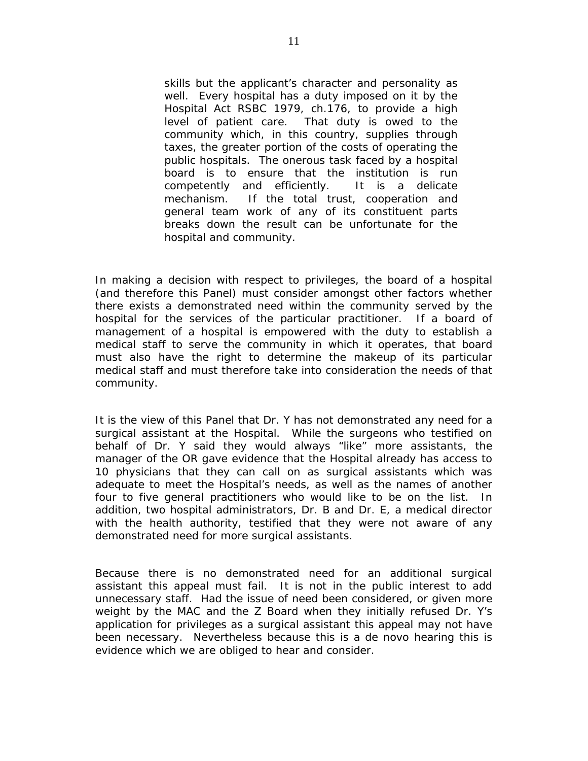skills but the applicant's character and personality as well. Every hospital has a duty imposed on it by the Hospital Act RSBC 1979, ch.176, to provide a high level of patient care. That duty is owed to the community which, in this country, supplies through taxes, the greater portion of the costs of operating the public hospitals. The onerous task faced by a hospital board is to ensure that the institution is run competently and efficiently. It is a delicate mechanism. If the total trust, cooperation and general team work of any of its constituent parts breaks down the result can be unfortunate for the hospital and community.

In making a decision with respect to privileges, the board of a hospital (and therefore this Panel) must consider amongst other factors whether there exists a demonstrated need within the community served by the hospital for the services of the particular practitioner. If a board of management of a hospital is empowered with the duty to establish a medical staff to serve the community in which it operates, that board must also have the right to determine the makeup of its particular medical staff and must therefore take into consideration the needs of that community.

It is the view of this Panel that Dr. Y has not demonstrated any need for a surgical assistant at the Hospital. While the surgeons who testified on behalf of Dr. Y said they would always "like" more assistants, the manager of the OR gave evidence that the Hospital already has access to 10 physicians that they can call on as surgical assistants which was adequate to meet the Hospital's needs, as well as the names of another four to five general practitioners who would like to be on the list. In addition, two hospital administrators, Dr. B and Dr. E, a medical director with the health authority, testified that they were not aware of any demonstrated need for more surgical assistants.

Because there is no demonstrated need for an additional surgical assistant this appeal must fail. It is not in the public interest to add unnecessary staff. Had the issue of need been considered, or given more weight by the MAC and the Z Board when they initially refused Dr. Y's application for privileges as a surgical assistant this appeal may not have been necessary. Nevertheless because this is a *de novo* hearing this is evidence which we are obliged to hear and consider.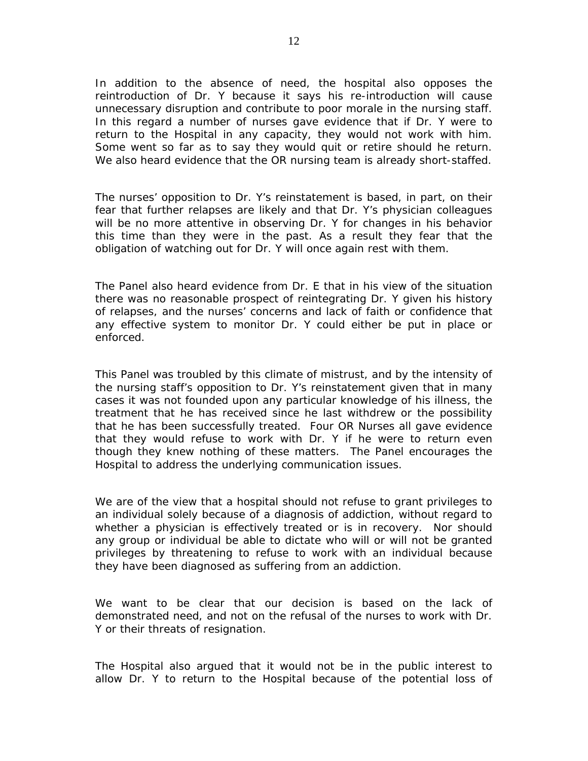In addition to the absence of need, the hospital also opposes the reintroduction of Dr. Y because it says his re-introduction will cause unnecessary disruption and contribute to poor morale in the nursing staff. In this regard a number of nurses gave evidence that if Dr. Y were to return to the Hospital in any capacity, they would not work with him. Some went so far as to say they would quit or retire should he return. We also heard evidence that the OR nursing team is already short-staffed.

The nurses' opposition to Dr. Y's reinstatement is based, in part, on their fear that further relapses are likely and that Dr. Y's physician colleagues will be no more attentive in observing Dr. Y for changes in his behavior this time than they were in the past. As a result they fear that the obligation of watching out for Dr. Y will once again rest with them.

The Panel also heard evidence from Dr. E that in his view of the situation there was no reasonable prospect of reintegrating Dr. Y given his history of relapses, and the nurses' concerns and lack of faith or confidence that any effective system to monitor Dr. Y could either be put in place or enforced.

This Panel was troubled by this climate of mistrust, and by the intensity of the nursing staff's opposition to Dr. Y's reinstatement given that in many cases it was not founded upon any particular knowledge of his illness, the treatment that he has received since he last withdrew or the possibility that he has been successfully treated. Four OR Nurses all gave evidence that they would refuse to work with Dr. Y if he were to return even though they knew nothing of these matters. The Panel encourages the Hospital to address the underlying communication issues.

We are of the view that a hospital should not refuse to grant privileges to an individual solely because of a diagnosis of addiction, without regard to whether a physician is effectively treated or is in recovery. Nor should any group or individual be able to dictate who will or will not be granted privileges by threatening to refuse to work with an individual because they have been diagnosed as suffering from an addiction.

We want to be clear that our decision is based on the lack of demonstrated need, and not on the refusal of the nurses to work with Dr. Y or their threats of resignation.

The Hospital also argued that it would not be in the public interest to allow Dr. Y to return to the Hospital because of the potential loss of